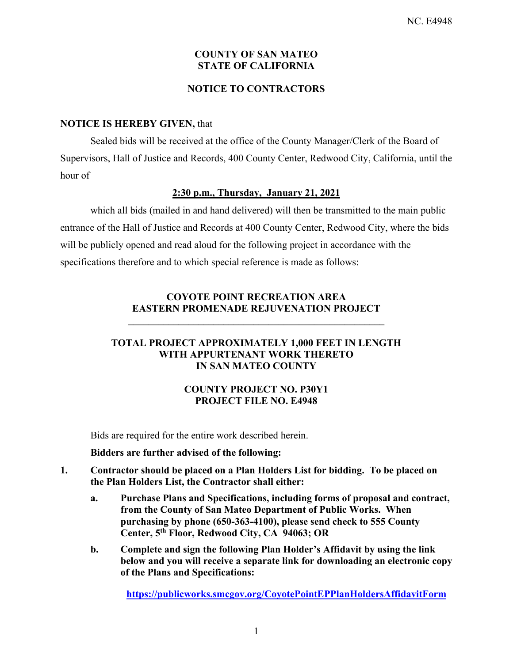### **COUNTY OF SAN MATEO STATE OF CALIFORNIA**

### **NOTICE TO CONTRACTORS**

### **NOTICE IS HEREBY GIVEN,** that

Sealed bids will be received at the office of the County Manager/Clerk of the Board of Supervisors, Hall of Justice and Records, 400 County Center, Redwood City, California, until the hour of

# **2:30 p.m., Thursday, January 21, 2021**

which all bids (mailed in and hand delivered) will then be transmitted to the main public entrance of the Hall of Justice and Records at 400 County Center, Redwood City, where the bids will be publicly opened and read aloud for the following project in accordance with the specifications therefore and to which special reference is made as follows:

# **COYOTE POINT RECREATION AREA EASTERN PROMENADE REJUVENATION PROJECT**

**\_\_\_\_\_\_\_\_\_\_\_\_\_\_\_\_\_\_\_\_\_\_\_\_\_\_\_\_\_\_\_\_\_\_\_\_\_\_\_\_\_\_\_\_\_\_\_\_\_\_\_** 

### **TOTAL PROJECT APPROXIMATELY 1,000 FEET IN LENGTH WITH APPURTENANT WORK THERETO IN SAN MATEO COUNTY**

# **COUNTY PROJECT NO. P30Y1 PROJECT FILE NO. E4948**

Bids are required for the entire work described herein.

### **Bidders are further advised of the following:**

- **1. Contractor should be placed on a Plan Holders List for bidding. To be placed on the Plan Holders List, the Contractor shall either:** 
	- **a. Purchase Plans and Specifications, including forms of proposal and contract, from the County of San Mateo Department of Public Works. When purchasing by phone (650-363-4100), please send check to 555 County Center, 5th Floor, Redwood City, CA 94063; OR**
	- **b. Complete and sign the following Plan Holder's Affidavit by using the link below and you will receive a separate link for downloading an electronic copy of the Plans and Specifications:**

**https://publicworks.smcgov.org/CoyotePointEPPlanHoldersAffidavitForm**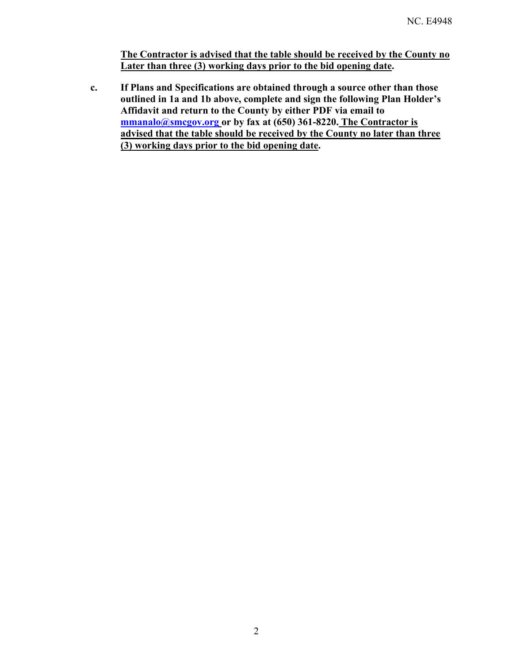**The Contractor is advised that the table should be received by the County no Later than three (3) working days prior to the bid opening date.** 

**c. If Plans and Specifications are obtained through a source other than those outlined in 1a and 1b above, complete and sign the following Plan Holder's Affidavit and return to the County by either PDF via email to mmanalo@smcgov.org or by fax at (650) 361-8220. The Contractor is advised that the table should be received by the County no later than three (3) working days prior to the bid opening date.**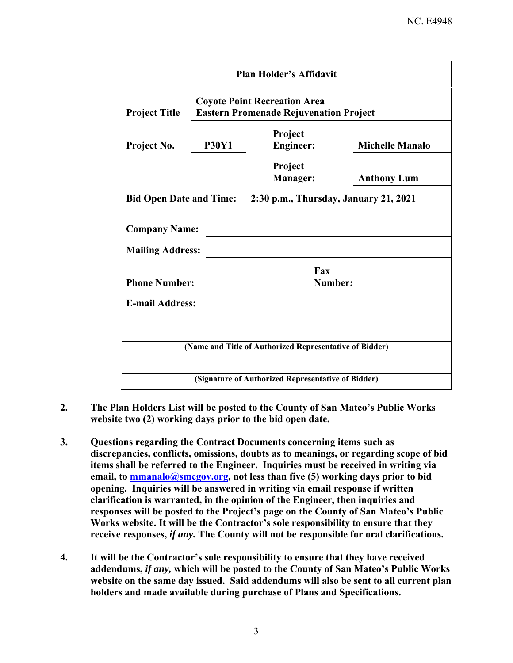| <b>Plan Holder's Affidavit</b>                                                                               |                             |                        |  |  |
|--------------------------------------------------------------------------------------------------------------|-----------------------------|------------------------|--|--|
| <b>Coyote Point Recreation Area</b><br><b>Project Title</b><br><b>Eastern Promenade Rejuvenation Project</b> |                             |                        |  |  |
| <b>P30Y1</b><br>Project No.                                                                                  | Project<br><b>Engineer:</b> | <b>Michelle Manalo</b> |  |  |
|                                                                                                              | Project<br><b>Manager:</b>  | <b>Anthony Lum</b>     |  |  |
| Bid Open Date and Time: 2:30 p.m., Thursday, January 21, 2021                                                |                             |                        |  |  |
| <b>Company Name:</b>                                                                                         |                             |                        |  |  |
| <b>Mailing Address:</b><br><b>Phone Number:</b>                                                              | Fax<br>Number:              |                        |  |  |
| <b>E-mail Address:</b>                                                                                       |                             |                        |  |  |
|                                                                                                              |                             |                        |  |  |
| (Name and Title of Authorized Representative of Bidder)                                                      |                             |                        |  |  |
| (Signature of Authorized Representative of Bidder)                                                           |                             |                        |  |  |

- **2. The Plan Holders List will be posted to the County of San Mateo's Public Works website two (2) working days prior to the bid open date.**
- **3. Questions regarding the Contract Documents concerning items such as discrepancies, conflicts, omissions, doubts as to meanings, or regarding scope of bid items shall be referred to the Engineer. Inquiries must be received in writing via**  email, to **mmanalo@smcgov.org**, not less than five (5) working days prior to bid **opening. Inquiries will be answered in writing via email response if written clarification is warranted, in the opinion of the Engineer, then inquiries and responses will be posted to the Project's page on the County of San Mateo's Public Works website. It will be the Contractor's sole responsibility to ensure that they receive responses,** *if any.* **The County will not be responsible for oral clarifications.**
- **4. It will be the Contractor's sole responsibility to ensure that they have received addendums,** *if any,* **which will be posted to the County of San Mateo's Public Works website on the same day issued. Said addendums will also be sent to all current plan holders and made available during purchase of Plans and Specifications.**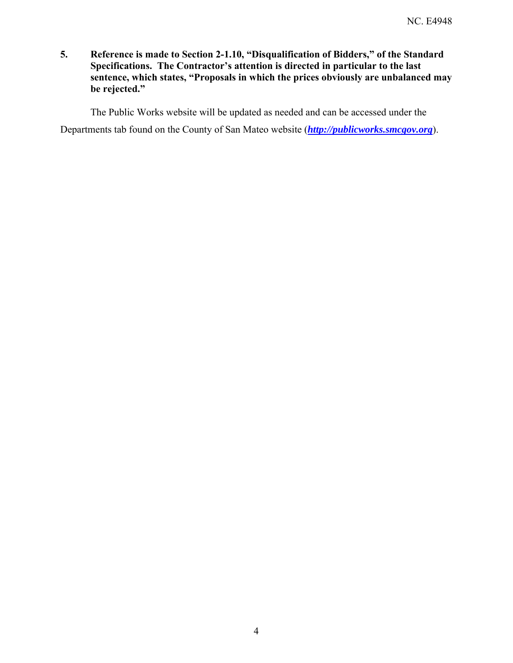**5. Reference is made to Section 2-1.10, "Disqualification of Bidders," of the Standard Specifications. The Contractor's attention is directed in particular to the last sentence, which states, "Proposals in which the prices obviously are unbalanced may be rejected."** 

The Public Works website will be updated as needed and can be accessed under the

Departments tab found on the County of San Mateo website (*http://publicworks.smcgov.org*).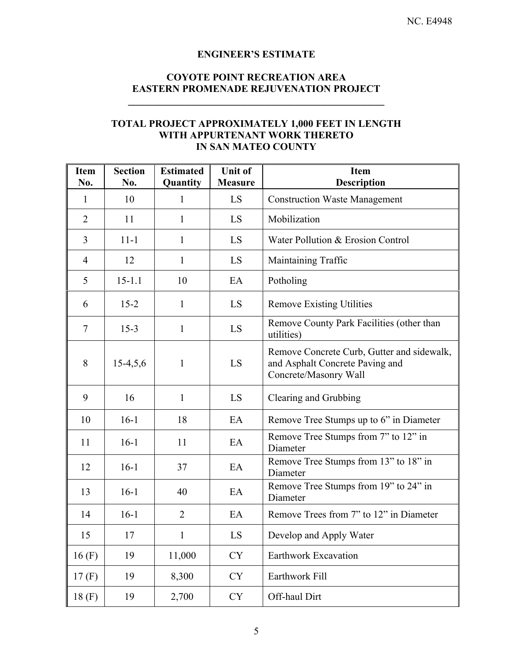### **ENGINEER'S ESTIMATE**

# **COYOTE POINT RECREATION AREA EASTERN PROMENADE REJUVENATION PROJECT**

 $\mathcal{L} = \{ \mathcal{L} \}$ 

## **TOTAL PROJECT APPROXIMATELY 1,000 FEET IN LENGTH WITH APPURTENANT WORK THERETO IN SAN MATEO COUNTY**

| <b>Item</b><br>No. | <b>Section</b><br>No. | <b>Estimated</b><br>Quantity | <b>Unit of</b><br><b>Measure</b> | <b>Item</b><br><b>Description</b>                                                                      |
|--------------------|-----------------------|------------------------------|----------------------------------|--------------------------------------------------------------------------------------------------------|
| $\mathbf{1}$       | 10                    | 1                            | LS                               | <b>Construction Waste Management</b>                                                                   |
| $\overline{2}$     | 11                    | 1                            | LS                               | Mobilization                                                                                           |
| $\overline{3}$     | $11 - 1$              | 1                            | LS                               | Water Pollution & Erosion Control                                                                      |
| $\overline{4}$     | 12                    | 1                            | LS                               | Maintaining Traffic                                                                                    |
| 5                  | $15 - 1.1$            | 10                           | EA                               | Potholing                                                                                              |
| 6                  | $15 - 2$              | $\mathbf{1}$                 | LS                               | <b>Remove Existing Utilities</b>                                                                       |
| $\tau$             | $15-3$                | $\mathbf{1}$                 | LS                               | Remove County Park Facilities (other than<br>utilities)                                                |
| 8                  | $15-4,5,6$            | $\mathbf{1}$                 | LS                               | Remove Concrete Curb, Gutter and sidewalk,<br>and Asphalt Concrete Paving and<br>Concrete/Masonry Wall |
| 9                  | 16                    | 1                            | LS                               | Clearing and Grubbing                                                                                  |
| 10                 | $16-1$                | 18                           | EA                               | Remove Tree Stumps up to 6" in Diameter                                                                |
| 11                 | $16-1$                | 11                           | EA                               | Remove Tree Stumps from 7" to 12" in<br>Diameter                                                       |
| 12                 | $16-1$                | 37                           | EA                               | Remove Tree Stumps from 13" to 18" in<br>Diameter                                                      |
| 13                 | $16-1$                | 40                           | EA                               | Remove Tree Stumps from 19" to 24" in<br>Diameter                                                      |
| 14                 | $16-1$                | $\overline{2}$               | EA                               | Remove Trees from 7" to 12" in Diameter                                                                |
| 15                 | 17                    | 1                            | LS                               | Develop and Apply Water                                                                                |
| 16(F)              | 19                    | 11,000                       | <b>CY</b>                        | Earthwork Excavation                                                                                   |
| 17(F)              | 19                    | 8,300                        | CY                               | Earthwork Fill                                                                                         |
| 18(F)              | 19                    | 2,700                        | ${\rm CY}$                       | Off-haul Dirt                                                                                          |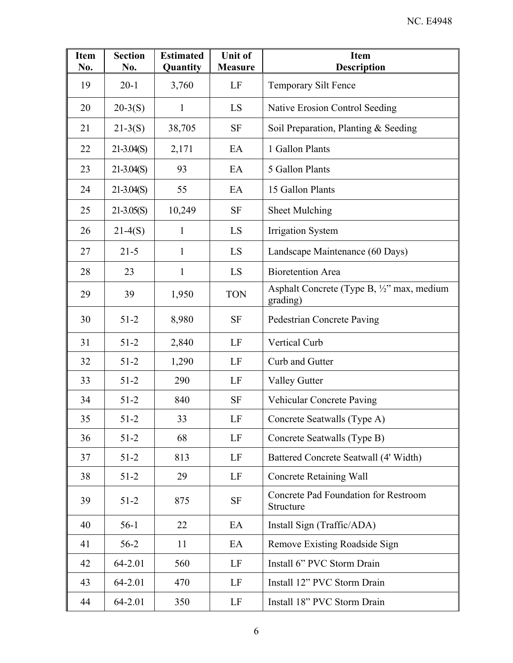| <b>Item</b><br>No. | <b>Section</b><br>No. | <b>Estimated</b><br>Quantity | <b>Unit of</b><br><b>Measure</b> | <b>Item</b><br><b>Description</b>                                 |
|--------------------|-----------------------|------------------------------|----------------------------------|-------------------------------------------------------------------|
| 19                 | $20-1$                | 3,760                        | LF                               | Temporary Silt Fence                                              |
| 20                 | $20-3(S)$             | 1                            | LS                               | Native Erosion Control Seeding                                    |
| 21                 | $21-3(S)$             | 38,705                       | <b>SF</b>                        | Soil Preparation, Planting & Seeding                              |
| 22                 | $21-3.04(S)$          | 2,171                        | EA                               | 1 Gallon Plants                                                   |
| 23                 | $21-3.04(S)$          | 93                           | EA                               | 5 Gallon Plants                                                   |
| 24                 | $21-3.04(S)$          | 55                           | EA                               | 15 Gallon Plants                                                  |
| 25                 | $21-3.05(S)$          | 10,249                       | <b>SF</b>                        | Sheet Mulching                                                    |
| 26                 | $21-4(S)$             | $\mathbf{1}$                 | LS                               | <b>Irrigation System</b>                                          |
| 27                 | $21 - 5$              | 1                            | LS                               | Landscape Maintenance (60 Days)                                   |
| 28                 | 23                    | $\mathbf{1}$                 | LS                               | <b>Bioretention Area</b>                                          |
| 29                 | 39                    | 1,950                        | <b>TON</b>                       | Asphalt Concrete (Type B, $\frac{1}{2}$ " max, medium<br>grading) |
| 30                 | $51-2$                | 8,980                        | <b>SF</b>                        | <b>Pedestrian Concrete Paving</b>                                 |
| 31                 | $51 - 2$              | 2,840                        | LF                               | Vertical Curb                                                     |
| 32                 | $51-2$                | 1,290                        | LF                               | Curb and Gutter                                                   |
| 33                 | $51 - 2$              | 290                          | LF                               | <b>Valley Gutter</b>                                              |
| 34                 | $51-2$                | 840                          | <b>SF</b>                        | Vehicular Concrete Paving                                         |
| 35                 | $51-2$                | 33                           | LF                               | Concrete Seatwalls (Type A)                                       |
| 36                 | $51-2$                | 68                           | LF                               | Concrete Seatwalls (Type B)                                       |
| 37                 | $51-2$                | 813                          | LF                               | Battered Concrete Seatwall (4' Width)                             |
| 38                 | $51-2$                | 29                           | LF                               | <b>Concrete Retaining Wall</b>                                    |
| 39                 | $51-2$                | 875                          | <b>SF</b>                        | <b>Concrete Pad Foundation for Restroom</b><br>Structure          |
| 40                 | $56-1$                | 22                           | EA                               | Install Sign (Traffic/ADA)                                        |
| 41                 | $56-2$                | 11                           | EA                               | Remove Existing Roadside Sign                                     |
| 42                 | 64-2.01               | 560                          | LF                               | Install 6" PVC Storm Drain                                        |
| 43                 | 64-2.01               | 470                          | LF                               | Install 12" PVC Storm Drain                                       |
| 44                 | 64-2.01               | 350                          | LF                               | Install 18" PVC Storm Drain                                       |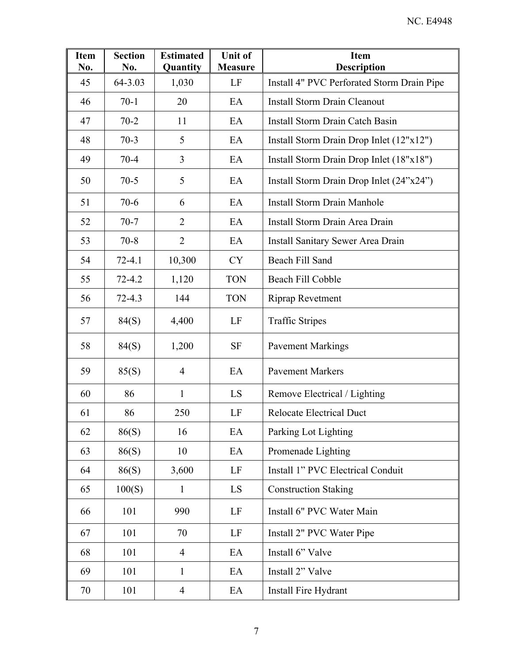| <b>Item</b><br>No. | <b>Section</b><br>No. | <b>Estimated</b><br>Quantity | <b>Unit of</b><br><b>Measure</b> | <b>Item</b><br><b>Description</b>          |
|--------------------|-----------------------|------------------------------|----------------------------------|--------------------------------------------|
| 45                 | 64-3.03               | 1,030                        | LF                               | Install 4" PVC Perforated Storm Drain Pipe |
| 46                 | $70-1$                | 20                           | EA                               | <b>Install Storm Drain Cleanout</b>        |
| 47                 | $70 - 2$              | 11                           | EA                               | Install Storm Drain Catch Basin            |
| 48                 | $70-3$                | 5                            | EA                               | Install Storm Drain Drop Inlet (12"x12")   |
| 49                 | $70 - 4$              | 3                            | EA                               | Install Storm Drain Drop Inlet (18"x18")   |
| 50                 | $70-5$                | 5                            | EA                               | Install Storm Drain Drop Inlet (24"x24")   |
| 51                 | $70-6$                | 6                            | EA                               | <b>Install Storm Drain Manhole</b>         |
| 52                 | $70-7$                | $\overline{2}$               | EA                               | Install Storm Drain Area Drain             |
| 53                 | $70 - 8$              | $\overline{2}$               | EA                               | Install Sanitary Sewer Area Drain          |
| 54                 | $72 - 4.1$            | 10,300                       | <b>CY</b>                        | Beach Fill Sand                            |
| 55                 | $72 - 4.2$            | 1,120                        | <b>TON</b>                       | Beach Fill Cobble                          |
| 56                 | $72 - 4.3$            | 144                          | <b>TON</b>                       | <b>Riprap Revetment</b>                    |
| 57                 | 84(S)                 | 4,400                        | LF                               | <b>Traffic Stripes</b>                     |
| 58                 | 84(S)                 | 1,200                        | <b>SF</b>                        | <b>Pavement Markings</b>                   |
| 59                 | 85(S)                 | $\overline{4}$               | EA                               | <b>Pavement Markers</b>                    |
| 60                 | 86                    | $\mathbf{1}$                 | LS                               | Remove Electrical / Lighting               |
| 61                 | 86                    | 250                          | LF                               | <b>Relocate Electrical Duct</b>            |
| 62                 | 86(S)                 | 16                           | EA                               | Parking Lot Lighting                       |
| 63                 | 86(S)                 | 10                           | EA                               | Promenade Lighting                         |
| 64                 | 86(S)                 | 3,600                        | LF                               | Install 1" PVC Electrical Conduit          |
| 65                 | 100(S)                | $\mathbf{1}$                 | LS                               | <b>Construction Staking</b>                |
| 66                 | 101                   | 990                          | LF                               | Install 6" PVC Water Main                  |
| 67                 | 101                   | 70                           | LF                               | Install 2" PVC Water Pipe                  |
| 68                 | 101                   | $\overline{4}$               | EA                               | Install 6" Valve                           |
| 69                 | 101                   | $\mathbf{1}$                 | EA                               | Install 2" Valve                           |
| 70                 | 101                   | $\overline{4}$               | EA                               | Install Fire Hydrant                       |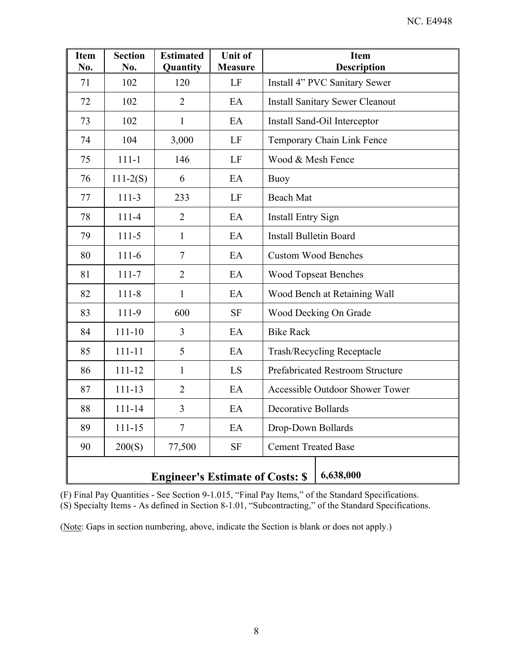| <b>Item</b><br>No. | <b>Section</b><br>No.                                | <b>Estimated</b><br>Quantity | <b>Unit of</b><br><b>Measure</b> | <b>Item</b><br>Description              |  |
|--------------------|------------------------------------------------------|------------------------------|----------------------------------|-----------------------------------------|--|
| 71                 | 102                                                  | 120                          | LF                               | Install 4" PVC Sanitary Sewer           |  |
| 72                 | 102                                                  | $\overline{2}$               | EA                               | <b>Install Sanitary Sewer Cleanout</b>  |  |
| 73                 | 102                                                  | $\mathbf{1}$                 | EA                               | Install Sand-Oil Interceptor            |  |
| 74                 | 104                                                  | 3,000                        | LF                               | Temporary Chain Link Fence              |  |
| 75                 | $111 - 1$                                            | 146                          | LF                               | Wood & Mesh Fence                       |  |
| 76                 | $111-2(S)$                                           | 6                            | EA                               | <b>Buoy</b>                             |  |
| 77                 | $111-3$                                              | 233                          | LF                               | <b>Beach Mat</b>                        |  |
| 78                 | $111-4$                                              | $\overline{2}$               | EA                               | <b>Install Entry Sign</b>               |  |
| 79                 | $111-5$                                              | $\mathbf{1}$                 | EA                               | <b>Install Bulletin Board</b>           |  |
| 80                 | $111-6$                                              | $\tau$                       | EA                               | <b>Custom Wood Benches</b>              |  |
| 81                 | $111 - 7$                                            | $\overline{2}$               | EA                               | <b>Wood Topseat Benches</b>             |  |
| 82                 | $111 - 8$                                            | $\mathbf{1}$                 | EA                               | Wood Bench at Retaining Wall            |  |
| 83                 | 111-9                                                | 600                          | <b>SF</b>                        | Wood Decking On Grade                   |  |
| 84                 | $111 - 10$                                           | 3                            | EA                               | <b>Bike Rack</b>                        |  |
| 85                 | $111 - 11$                                           | 5                            | EA                               | <b>Trash/Recycling Receptacle</b>       |  |
| 86                 | 111-12                                               | 1                            | LS                               | <b>Prefabricated Restroom Structure</b> |  |
| 87                 | 111-13                                               | $\overline{2}$               | EA                               | Accessible Outdoor Shower Tower         |  |
| 88                 | 111-14                                               | $\overline{3}$               | EA                               | <b>Decorative Bollards</b>              |  |
| 89                 | $111 - 15$                                           | $\overline{7}$               | EA                               | Drop-Down Bollards                      |  |
| 90                 | 200(S)                                               | 77,500                       | <b>SF</b>                        | <b>Cement Treated Base</b>              |  |
|                    | 6,638,000<br><b>Engineer's Estimate of Costs: \$</b> |                              |                                  |                                         |  |

(F) Final Pay Quantities - See Section 9-1.015, "Final Pay Items," of the Standard Specifications. (S) Specialty Items - As defined in Section 8-1.01, "Subcontracting," of the Standard Specifications.

(Note: Gaps in section numbering, above, indicate the Section is blank or does not apply.)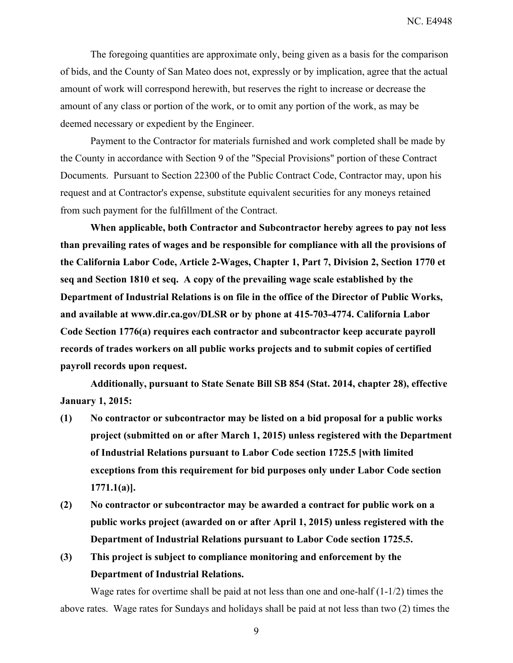The foregoing quantities are approximate only, being given as a basis for the comparison of bids, and the County of San Mateo does not, expressly or by implication, agree that the actual amount of work will correspond herewith, but reserves the right to increase or decrease the amount of any class or portion of the work, or to omit any portion of the work, as may be deemed necessary or expedient by the Engineer.

Payment to the Contractor for materials furnished and work completed shall be made by the County in accordance with Section 9 of the "Special Provisions" portion of these Contract Documents. Pursuant to Section 22300 of the Public Contract Code, Contractor may, upon his request and at Contractor's expense, substitute equivalent securities for any moneys retained from such payment for the fulfillment of the Contract.

**When applicable, both Contractor and Subcontractor hereby agrees to pay not less than prevailing rates of wages and be responsible for compliance with all the provisions of the California Labor Code, Article 2-Wages, Chapter 1, Part 7, Division 2, Section 1770 et seq and Section 1810 et seq. A copy of the prevailing wage scale established by the Department of Industrial Relations is on file in the office of the Director of Public Works, and available at www.dir.ca.gov/DLSR or by phone at 415-703-4774. California Labor Code Section 1776(a) requires each contractor and subcontractor keep accurate payroll records of trades workers on all public works projects and to submit copies of certified payroll records upon request.** 

**Additionally, pursuant to State Senate Bill SB 854 (Stat. 2014, chapter 28), effective January 1, 2015:** 

- **(1) No contractor or subcontractor may be listed on a bid proposal for a public works project (submitted on or after March 1, 2015) unless registered with the Department of Industrial Relations pursuant to Labor Code section 1725.5 [with limited exceptions from this requirement for bid purposes only under Labor Code section 1771.1(a)].**
- **(2) No contractor or subcontractor may be awarded a contract for public work on a public works project (awarded on or after April 1, 2015) unless registered with the Department of Industrial Relations pursuant to Labor Code section 1725.5.**
- **(3) This project is subject to compliance monitoring and enforcement by the Department of Industrial Relations.**

Wage rates for overtime shall be paid at not less than one and one-half (1-1/2) times the above rates. Wage rates for Sundays and holidays shall be paid at not less than two (2) times the

9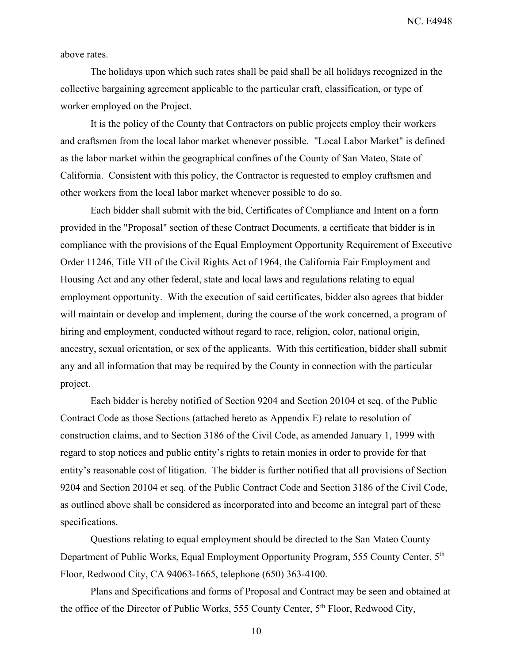NC. E4948

above rates.

The holidays upon which such rates shall be paid shall be all holidays recognized in the collective bargaining agreement applicable to the particular craft, classification, or type of worker employed on the Project.

It is the policy of the County that Contractors on public projects employ their workers and craftsmen from the local labor market whenever possible. "Local Labor Market" is defined as the labor market within the geographical confines of the County of San Mateo, State of California. Consistent with this policy, the Contractor is requested to employ craftsmen and other workers from the local labor market whenever possible to do so.

Each bidder shall submit with the bid, Certificates of Compliance and Intent on a form provided in the "Proposal" section of these Contract Documents, a certificate that bidder is in compliance with the provisions of the Equal Employment Opportunity Requirement of Executive Order 11246, Title VII of the Civil Rights Act of 1964, the California Fair Employment and Housing Act and any other federal, state and local laws and regulations relating to equal employment opportunity. With the execution of said certificates, bidder also agrees that bidder will maintain or develop and implement, during the course of the work concerned, a program of hiring and employment, conducted without regard to race, religion, color, national origin, ancestry, sexual orientation, or sex of the applicants. With this certification, bidder shall submit any and all information that may be required by the County in connection with the particular project.

Each bidder is hereby notified of Section 9204 and Section 20104 et seq. of the Public Contract Code as those Sections (attached hereto as Appendix E) relate to resolution of construction claims, and to Section 3186 of the Civil Code, as amended January 1, 1999 with regard to stop notices and public entity's rights to retain monies in order to provide for that entity's reasonable cost of litigation. The bidder is further notified that all provisions of Section 9204 and Section 20104 et seq. of the Public Contract Code and Section 3186 of the Civil Code, as outlined above shall be considered as incorporated into and become an integral part of these specifications.

Questions relating to equal employment should be directed to the San Mateo County Department of Public Works, Equal Employment Opportunity Program, 555 County Center, 5<sup>th</sup> Floor, Redwood City, CA 94063-1665, telephone (650) 363-4100.

Plans and Specifications and forms of Proposal and Contract may be seen and obtained at the office of the Director of Public Works, 555 County Center, 5<sup>th</sup> Floor, Redwood City,

10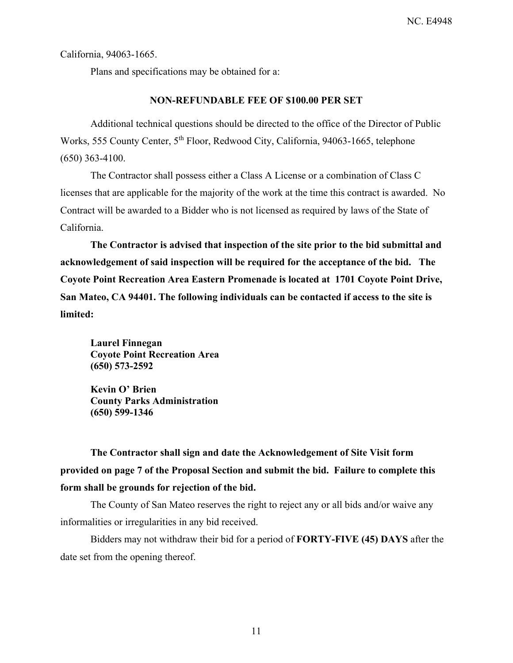California, 94063-1665.

Plans and specifications may be obtained for a:

#### **NON-REFUNDABLE FEE OF \$100.00 PER SET**

Additional technical questions should be directed to the office of the Director of Public Works, 555 County Center, 5<sup>th</sup> Floor, Redwood City, California, 94063-1665, telephone (650) 363-4100.

The Contractor shall possess either a Class A License or a combination of Class C licenses that are applicable for the majority of the work at the time this contract is awarded. No Contract will be awarded to a Bidder who is not licensed as required by laws of the State of California.

**The Contractor is advised that inspection of the site prior to the bid submittal and acknowledgement of said inspection will be required for the acceptance of the bid. The Coyote Point Recreation Area Eastern Promenade is located at 1701 Coyote Point Drive, San Mateo, CA 94401. The following individuals can be contacted if access to the site is limited:** 

**Laurel Finnegan Coyote Point Recreation Area (650) 573-2592** 

**Kevin O' Brien County Parks Administration (650) 599-1346** 

**The Contractor shall sign and date the Acknowledgement of Site Visit form provided on page 7 of the Proposal Section and submit the bid. Failure to complete this form shall be grounds for rejection of the bid.** 

The County of San Mateo reserves the right to reject any or all bids and/or waive any informalities or irregularities in any bid received.

Bidders may not withdraw their bid for a period of **FORTY-FIVE (45) DAYS** after the date set from the opening thereof.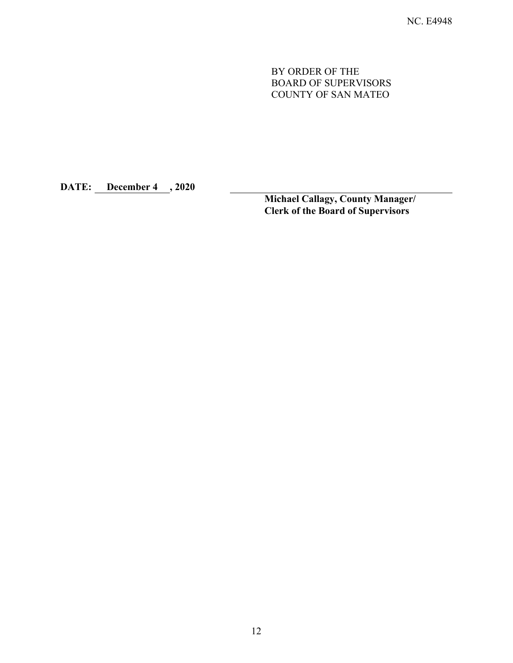BY ORDER OF THE BOARD OF SUPERVISORS COUNTY OF SAN MATEO

**DATE: December 4 , 2020** 

**Michael Callagy, County Manager/ Clerk of the Board of Supervisors**